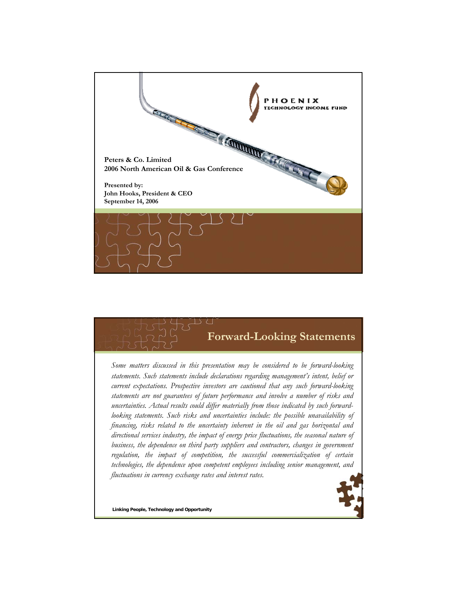

## **Forward-Looking Statements**

*Some matters discussed in this presentation may be considered to be forward-looking statements. Such statements include declarations regarding management's intent, belief or current expectations. Prospective investors are cautioned that any such forward-looking statements are not guarantees of future performance and involve a number of risks and uncertainties. Actual results could differ materially from those indicated by such forwardlooking statements. Such risks and uncertainties include: the possible unavailability of financing, risks related to the uncertainty inherent in the oil and gas horizontal and directional services industry, the impact of energy price fluctuations, the seasonal nature of business, the dependence on third party suppliers and contractors, changes in government regulation, the impact of competition, the successful commercialization of certain technologies, the dependence upon competent employees including senior management, and fluctuations in currency exchange rates and interest rates.*



**Linking People, Technology and Opportunity**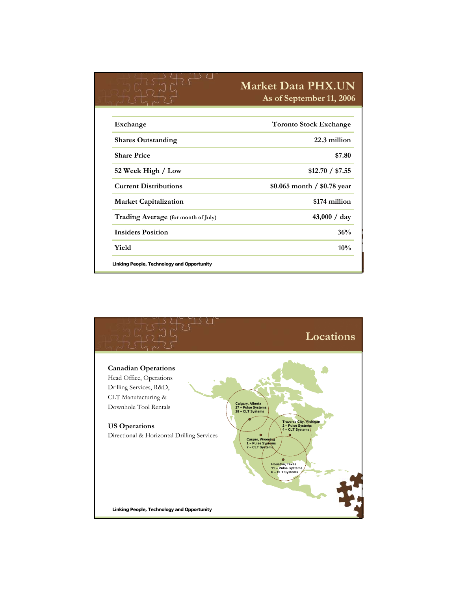|                                     | <b>Market Data PHX.UN</b><br>As of September 11, 2006 |  |  |
|-------------------------------------|-------------------------------------------------------|--|--|
| Exchange                            | <b>Toronto Stock Exchange</b>                         |  |  |
|                                     |                                                       |  |  |
| <b>Shares Outstanding</b>           | 22.3 million                                          |  |  |
| <b>Share Price</b>                  | \$7.80                                                |  |  |
| 52 Week High / Low                  | \$12.70 / \$7.55                                      |  |  |
| <b>Current Distributions</b>        | \$0.065 month $/$ \$0.78 year                         |  |  |
| <b>Market Capitalization</b>        | \$174 million                                         |  |  |
| Trading Average (for month of July) | 43,000 / day                                          |  |  |
| <b>Insiders Position</b>            | 36%                                                   |  |  |
| Yield                               | 10%                                                   |  |  |

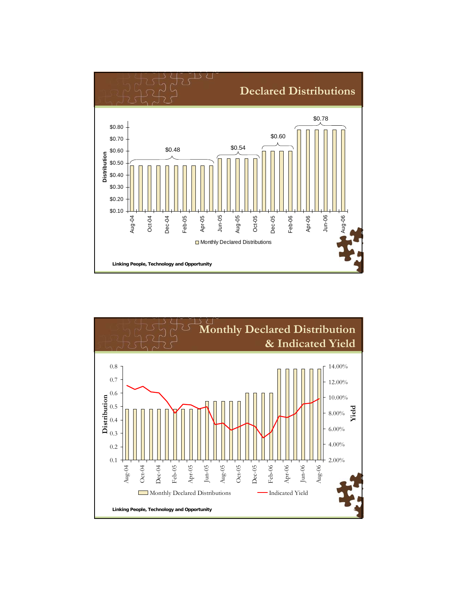

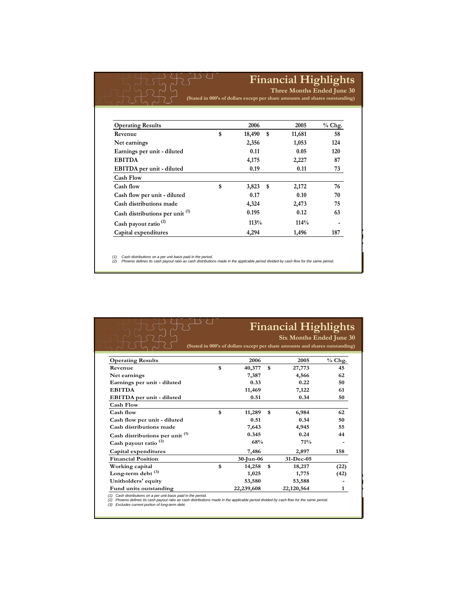## **Financial Highlights**

**Three Months Ended June 30**

| (Stated in 000's of dollars except per share amounts and shares outstanding) |  |  |
|------------------------------------------------------------------------------|--|--|
|                                                                              |  |  |

| <b>Operating Results</b>                   | 2006         | 2005         | $%$ Chg. |
|--------------------------------------------|--------------|--------------|----------|
| Revenue                                    | \$<br>18,490 | \$<br>11,681 | 58       |
| Net earnings                               | 2,356        | 1,053        | 124      |
| Earnings per unit - diluted                | 0.11         | 0.05         | 120      |
| <b>EBITDA</b>                              | 4,175        | 2,227        | 87       |
| EBITDA per unit - diluted                  | 0.19         | 0.11         | 73       |
| <b>Cash Flow</b>                           |              |              |          |
| Cash flow                                  | \$<br>3,823  | \$<br>2,172  | 76       |
| Cash flow per unit - diluted               | 0.17         | 0.10         | 70       |
| Cash distributions made                    | 4,324        | 2,473        | 75       |
| Cash distributions per unit <sup>(1)</sup> | 0.195        | 0.12         | 63       |
| Cash payout ratio <sup>(2)</sup>           | $11.3\%$     | 114%         |          |
| Capital expenditures                       | 4,294        | 1,496        | 187      |

Linking **People, Technology and Opportunity** and Opportunity and Opportunity *(1) Cash distributions on a per unit basis paid in the period. (2) Phoenix defines its cash payout ratio as cash distributions made in the applicable period divided by cash flow for the same period.*

|                                            |              | <b>Financial Highlights</b><br>Six Months Ended June 30<br>(Stated in 000's of dollars except per share amounts and shares outstanding) |          |
|--------------------------------------------|--------------|-----------------------------------------------------------------------------------------------------------------------------------------|----------|
| <b>Operating Results</b>                   | 2006         | 2005                                                                                                                                    | $%$ Chg. |
| Revenue                                    | \$<br>40,377 | \$<br>27,773                                                                                                                            | 45       |
| Net earnings                               | 7,387        | 4,566                                                                                                                                   | 62       |
| Earnings per unit - diluted                | 0.33         | 0.22                                                                                                                                    | 50       |
| <b>EBITDA</b>                              | 11,469       | 7,122                                                                                                                                   | 61       |
| EBITDA per unit - diluted                  | 0.51         | 0.34                                                                                                                                    | 50       |
| <b>Cash Flow</b>                           |              |                                                                                                                                         |          |
| Cash flow                                  | \$<br>11,289 | \$<br>6,984                                                                                                                             | 62       |
| Cash flow per unit - diluted               | 0.51         | 0.34                                                                                                                                    | 50       |
| Cash distributions made                    | 7,643        | 4,945                                                                                                                                   | 55       |
| Cash distributions per unit <sup>(1)</sup> | 0.345        | 0.24                                                                                                                                    | 44       |
| Cash payout ratio <sup>(2)</sup>           | 68%          | 71%                                                                                                                                     |          |
| Capital expenditures                       | 7,486        | 2,897                                                                                                                                   | 158      |
| <b>Financial Position</b>                  | 30-Jun-06    | 31-Dec-05                                                                                                                               |          |
| Working capital                            | \$<br>14,258 | \$<br>18,217                                                                                                                            | (22)     |
| Long-term debt $^{(3)}$                    | 1,025        | 1,775                                                                                                                                   | (42)     |
| Unitholders' equity                        | 53,580       | 53,588                                                                                                                                  |          |
| Fund units outstanding                     | 22,239,608   | 22,120,564                                                                                                                              | 1        |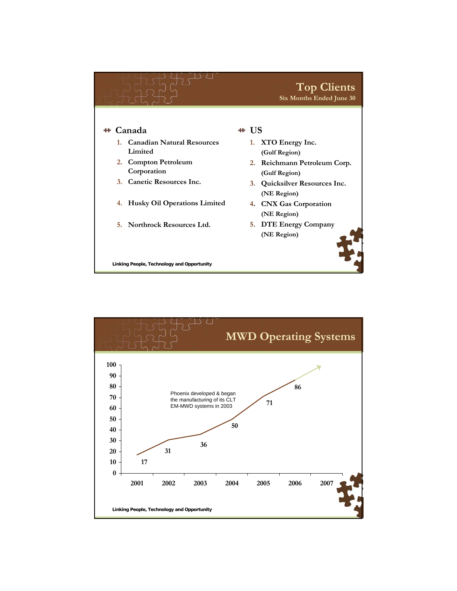

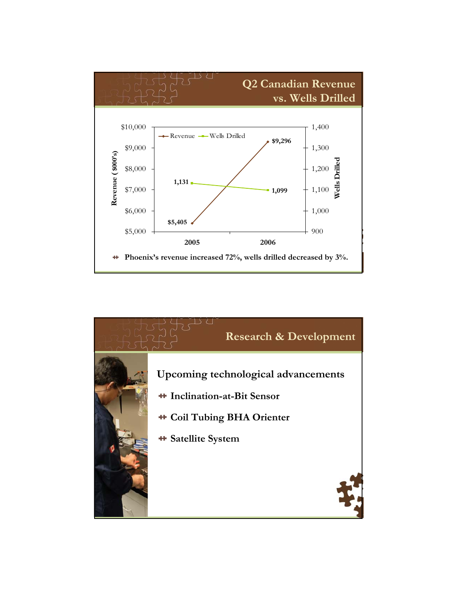

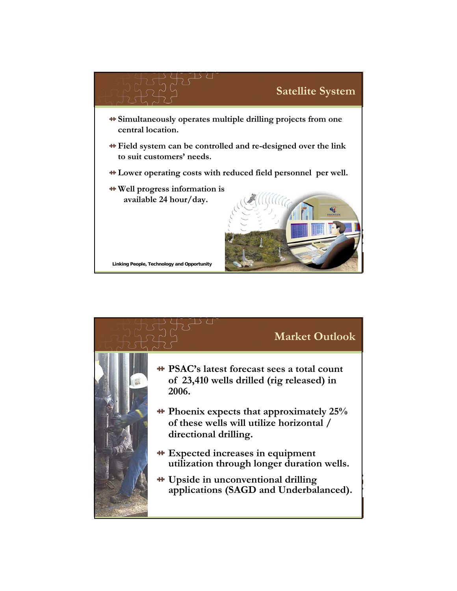